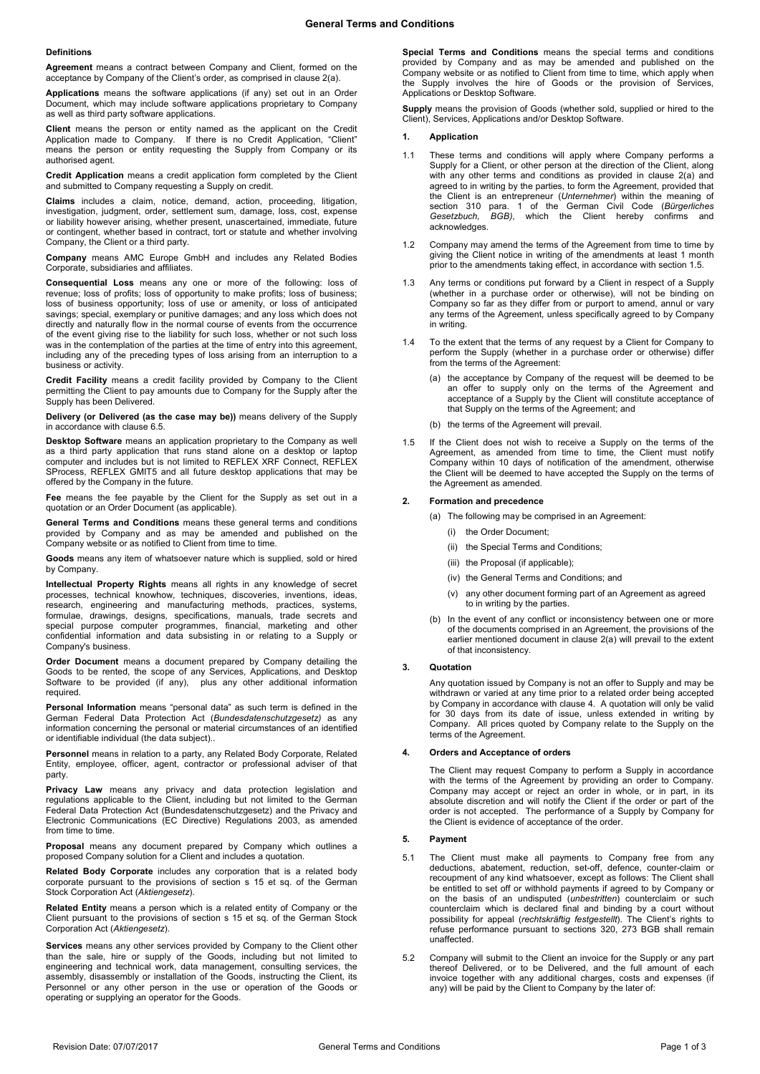## **Definitions**

**Agreement** means a contract between Company and Client, formed on the acceptance by Company of the Client's order, as comprised in claus[e 2\(a\).](#page-0-0)

**Applications** means the software applications (if any) set out in an Order Document, which may include software applications proprietary to Company as well as third party software applications.

**Client** means the person or entity named as the applicant on the Credit Application made to Company. If there is no Credit Application, "Client" means the person or entity requesting the Supply from Company or its authorised agent.

**Credit Application** means a credit application form completed by the Client and submitted to Company requesting a Supply on credit.

**Claims** includes a claim, notice, demand, action, proceeding, litigation, investigation, judgment, order, settlement sum, damage, loss, cost, expense or liability however arising, whether present, unascertained, immediate, future or contingent, whether based in contract, tort or statute and whether involving Company, the Client or a third party.

**Company** means AMC Europe GmbH and includes any Related Bodies Corporate, subsidiaries and affiliates.

**Consequential Loss** means any one or more of the following: loss of revenue; loss of profits; loss of opportunity to make profits; loss of business; loss of business opportunity; loss of use or amenity, or loss of anticipated savings; special, exemplary or punitive damages; and any loss which does not directly and naturally flow in the normal course of events from the occurrence of the event giving rise to the liability for such loss, whether or not such loss was in the contemplation of the parties at the time of entry into this agreement, including any of the preceding types of loss arising from an interruption to a business or activity.

**Credit Facility** means a credit facility provided by Company to the Client permitting the Client to pay amounts due to Company for the Supply after the Supply has been Delivered.

**Delivery (or Delivered (as the case may be))** means delivery of the Supply in accordance with claus[e 6.5.](#page-1-0)

**Desktop Software** means an application proprietary to the Company as well as a third party application that runs stand alone on a desktop or laptop computer and includes but is not limited to REFLEX XRF Connect, REFLEX SProcess, REFLEX GMIT5 and all future desktop applications that may be offered by the Company in the future.

**Fee** means the fee payable by the Client for the Supply as set out in a quotation or an Order Document (as applicable).

**General Terms and Conditions** means these general terms and conditions provided by Company and as may be amended and published on the Company website or as notified to Client from time to time.

**Goods** means any item of whatsoever nature which is supplied, sold or hired by Company.

**Intellectual Property Rights** means all rights in any knowledge of secret processes, technical knowhow, techniques, discoveries, inventions, ideas, research, engineering and manufacturing methods, practices, systems, formulae, drawings, designs, specifications, manuals, trade secrets and special purpose computer programmes, financial, marketing and other confidential information and data subsisting in or relating to a Supply or Company's business.

**Order Document** means a document prepared by Company detailing the Goods to be rented, the scope of any Services, Applications, and Desktop Software to be provided (if any), plus any other additional information required.

**Personal Information** means "personal data" as such term is defined in the German Federal Data Protection Act (*Bundesdatenschutzgesetz)* as any information concerning the personal or material circumstances of an identified or identifiable individual (the data subject)..

**Personnel** means in relation to a party, any Related Body Corporate, Related Entity, employee, officer, agent, contractor or professional adviser of that party.

**Privacy Law** means any privacy and data protection legislation and regulations applicable to the Client, including but not limited to the German Federal Data Protection Act (Bundesdatenschutzgesetz) and the Privacy and Electronic Communications (EC Directive) Regulations 2003, as amended from time to time.

**Proposal** means any document prepared by Company which outlines a proposed Company solution for a Client and includes a quotation.

**Related Body Corporate** includes any corporation that is a related body corporate pursuant to the provisions of section s 15 et sq. of the German Stock Corporation Act (*Aktiengesetz*).

**Related Entity** means a person which is a related entity of Company or the Client pursuant to the provisions of section s 15 et sq. of the German Stock Corporation Act (*Aktiengesetz*).

**Services** means any other services provided by Company to the Client other than the sale, hire or supply of the Goods, including but not limited to engineering and technical work, data management, consulting services, the assembly, disassembly or installation of the Goods, instructing the Client, its Personnel or any other person in the use or operation of the Goods or operating or supplying an operator for the Goods.

**Special Terms and Conditions** means the special terms and conditions provided by Company and as may be amended and published on the Company website or as notified to Client from time to time, which apply when the Supply involves the hire of Goods or the provision of Services, Applications or Desktop Software.

**Supply** means the provision of Goods (whether sold, supplied or hired to the Client), Services, Applications and/or Desktop Software.

# **1. Application**

- 1.1 These terms and conditions will apply where Company performs a Supply for a Client, or other person at the direction of the Client, along with any other terms and conditions as provided in clause 2(a) and agreed to in writing by the parties, to form the Agreement, provided that the Client is an entrepreneur (*Unternehmer*) within the meaning of section 310 para. 1 of the German Civil Code (*Bürgerliches Gesetzbuch, BGB)*, which the Client hereby confirms and acknowledges.
- 1.2 Company may amend the terms of the Agreement from time to time by giving the Client notice in writing of the amendments at least 1 month prior to the amendments taking effect, in accordance with section 1.5.
- 1.3 Any terms or conditions put forward by a Client in respect of a Supply (whether in a purchase order or otherwise), will not be binding on Company so far as they differ from or purport to amend, annul or vary any terms of the Agreement, unless specifically agreed to by Company in writing.
- 1.4 To the extent that the terms of any request by a Client for Company to perform the Supply (whether in a purchase order or otherwise) differ from the terms of the Agreement:
	- (a) the acceptance by Company of the request will be deemed to be an offer to supply only on the terms of the Agreement and acceptance of a Supply by the Client will constitute acceptance of that Supply on the terms of the Agreement; and
	- (b) the terms of the Agreement will prevail.
- 1.5 If the Client does not wish to receive a Supply on the terms of the Agreement, as amended from time to time, the Client must notify Company within 10 days of notification of the amendment, otherwise the Client will be deemed to have accepted the Supply on the terms of the Agreement as amended.

## <span id="page-0-0"></span>**2. Formation and precedence**

- (a) The following may be comprised in an Agreement:
	- (i) the Order Document;
	- (ii) the Special Terms and Conditions;
	- (iii) the Proposal (if applicable):
	- (iv) the General Terms and Conditions; and
	- (v) any other document forming part of an Agreement as agreed to in writing by the parties.
- (b) In the event of any conflict or inconsistency between one or more of the documents comprised in an Agreement, the provisions of the earlier mentioned document in clause [2\(a\)](#page-0-0) will prevail to the extent of that inconsistency.

#### **3. Quotation**

Any quotation issued by Company is not an offer to Supply and may be withdrawn or varied at any time prior to a related order being accepted by Company in accordance with clause [4.](#page-0-1) A quotation will only be valid for 30 days from its date of issue, unless extended in writing by Company. All prices quoted by Company relate to the Supply on the terms of the Agreement.

# <span id="page-0-1"></span>**4. Orders and Acceptance of orders**

The Client may request Company to perform a Supply in accordance with the terms of the Agreement by providing an order to Company. Company may accept or reject an order in whole, or in part, in its absolute discretion and will notify the Client if the order or part of the order is not accepted. The performance of a Supply by Company for the Client is evidence of acceptance of the order.

#### **5. Payment**

- 5.1 The Client must make all payments to Company free from any deductions, abatement, reduction, set-off, defence, counter-claim or recoupment of any kind whatsoever, except as follows: The Client shall be entitled to set off or withhold payments if agreed to by Company or on the basis of an undisputed (*unbestritten*) counterclaim or such counterclaim which is declared final and binding by a court without possibility for appeal (*rechtskräftig festgestellt*). The Client's rights to refuse performance pursuant to sections 320, 273 BGB shall remain unaffected.
- 5.2 Company will submit to the Client an invoice for the Supply or any part thereof Delivered, or to be Delivered, and the full amount of each invoice together with any additional charges, costs and expenses (if any) will be paid by the Client to Company by the later of: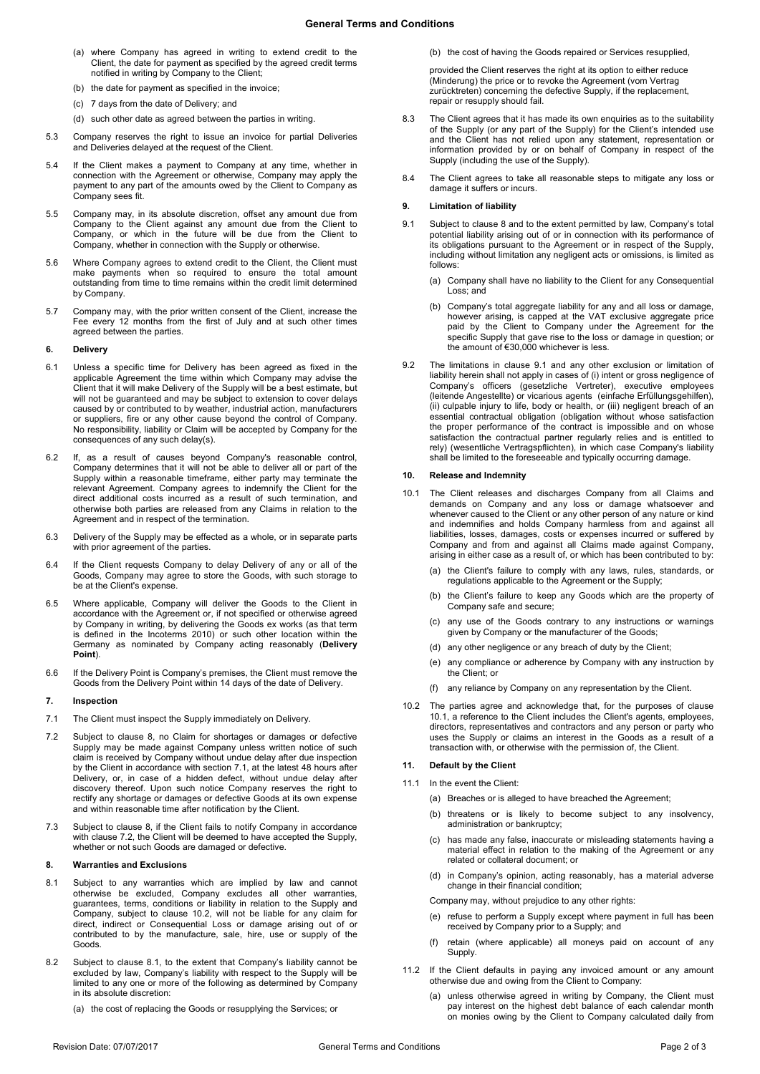- (a) where Company has agreed in writing to extend credit to the Client, the date for payment as specified by the agreed credit terms notified in writing by Company to the Client;
- (b) the date for payment as specified in the invoice;
- (c) 7 days from the date of Delivery; and
- (d) such other date as agreed between the parties in writing.
- 5.3 Company reserves the right to issue an invoice for partial Deliveries and Deliveries delayed at the request of the Client.
- 5.4 If the Client makes a payment to Company at any time, whether in connection with the Agreement or otherwise, Company may apply the payment to any part of the amounts owed by the Client to Company as Company sees fit.
- 5.5 Company may, in its absolute discretion, offset any amount due from Company to the Client against any amount due from the Client to Company, or which in the future will be due from the Client to Company, whether in connection with the Supply or otherwise.
- 5.6 Where Company agrees to extend credit to the Client, the Client must make payments when so required to ensure the total amount outstanding from time to time remains within the credit limit determined by Company.
- 5.7 Company may, with the prior written consent of the Client, increase the Fee every 12 months from the first of July and at such other times agreed between the parties.

## **6. Delivery**

- 6.1 Unless a specific time for Delivery has been agreed as fixed in the applicable Agreement the time within which Company may advise the Client that it will make Delivery of the Supply will be a best estimate, but will not be guaranteed and may be subject to extension to cover delays caused by or contributed to by weather, industrial action, manufacturers or suppliers, fire or any other cause beyond the control of Company. No responsibility, liability or Claim will be accepted by Company for the consequences of any such delay(s).
- 6.2 If, as a result of causes beyond Company's reasonable control, Company determines that it will not be able to deliver all or part of the Supply within a reasonable timeframe, either party may terminate the relevant Agreement. Company agrees to indemnify the Client for the direct additional costs incurred as a result of such termination, and otherwise both parties are released from any Claims in relation to the Agreement and in respect of the termination.
- 6.3 Delivery of the Supply may be effected as a whole, or in separate parts with prior agreement of the parties
- 6.4 If the Client requests Company to delay Delivery of any or all of the Goods, Company may agree to store the Goods, with such storage to be at the Client's expense.
- <span id="page-1-0"></span>6.5 Where applicable, Company will deliver the Goods to the Client in accordance with the Agreement or, if not specified or otherwise agreed by Company in writing, by delivering the Goods ex works (as that term is defined in the Incoterms 2010) or such other location within the Germany as nominated by Company acting reasonably (**Delivery Point**).
- 6.6 If the Delivery Point is Company's premises, the Client must remove the Goods from the Delivery Point within 14 days of the date of Delivery.

#### **7. Inspection**

- 7.1 The Client must inspect the Supply immediately on Delivery.
- <span id="page-1-2"></span>7.2 Subject to clause [8,](#page-1-1) no Claim for shortages or damages or defective Supply may be made against Company unless written notice of such claim is received by Company without undue delay after due inspection by the Client in accordance with section 7.1, at the latest 48 hours after Delivery, or, in case of a hidden defect, without undue delay after discovery thereof. Upon such notice Company reserves the right to rectify any shortage or damages or defective Goods at its own expense and within reasonable time after notification by the Client.
- 7.3 Subject to clause [8,](#page-1-1) if the Client fails to notify Company in accordance with clause [7.2,](#page-1-2) the Client will be deemed to have accepted the Supply, whether or not such Goods are damaged or defective.

## <span id="page-1-1"></span>**8. Warranties and Exclusions**

- 8.1 Subject to any warranties which are implied by law and cannot otherwise be excluded, Company excludes all other warranties, guarantees, terms, conditions or liability in relation to the Supply and Company, subject to clause [10.2,](#page-1-3) will not be liable for any claim for direct, indirect or Consequential Loss or damage arising out of or contributed to by the manufacture, sale, hire, use or supply of the Goods.
- 8.2 Subject to clause 8.1, to the extent that Company's liability cannot be excluded by law, Company's liability with respect to the Supply will be limited to any one or more of the following as determined by Company in its absolute discretion:
	- (a) the cost of replacing the Goods or resupplying the Services; or

(b) the cost of having the Goods repaired or Services resupplied,

provided the Client reserves the right at its option to either reduce (Minderung) the price or to revoke the Agreement (vom Vertrag zurücktreten) concerning the defective Supply, if the replacement, repair or resupply should fail.

- 8.3 The Client agrees that it has made its own enquiries as to the suitability of the Supply (or any part of the Supply) for the Client's intended use and the Client has not relied upon any statement, representation or information provided by or on behalf of Company in respect of the Supply (including the use of the Supply).
- 8.4 The Client agrees to take all reasonable steps to mitigate any loss or damage it suffers or incurs.

### <span id="page-1-6"></span>**9. Limitation of liability**

- <span id="page-1-4"></span>9.1 Subject to clause [8](#page-1-1) and to the extent permitted by law, Company's total potential liability arising out of or in connection with its performance of its obligations pursuant to the Agreement or in respect of the Supply, including without limitation any negligent acts or omissions, is limited as follows:
	- (a) Company shall have no liability to the Client for any Consequential Loss; and
	- (b) Company's total aggregate liability for any and all loss or damage, however arising, is capped at the VAT exclusive aggregate price paid by the Client to Company under the Agreement for the specific Supply that gave rise to the loss or damage in question; or the amount of €30,000 whichever is less.
- <span id="page-1-3"></span>9.2 The limitations in clause [9.1](#page-1-4) and any other exclusion or limitation of liability herein shall not apply in cases of (i) intent or gross negligence of Company's officers (gesetzliche Vertreter), executive employees (leitende Angestellte) or vicarious agents (einfache Erfüllungsgehilfen), (ii) culpable injury to life, body or health, or (iii) negligent breach of an essential contractual obligation (obligation without whose satisfaction the proper performance of the contract is impossible and on whose satisfaction the contractual partner regularly relies and is entitled to rely) (wesentliche Vertragspflichten), in which case Company's liability shall be limited to the foreseeable and typically occurring damage.

#### <span id="page-1-7"></span>**10. Release and Indemnity**

- <span id="page-1-5"></span>10.1 The Client releases and discharges Company from all Claims and demands on Company and any loss or damage whatsoever and whenever caused to the Client or any other person of any nature or kind and indemnifies and holds Company harmless from and against all liabilities, losses, damages, costs or expenses incurred or suffered by Company and from and against all Claims made against Company, arising in either case as a result of, or which has been contributed to by:
	- (a) the Client's failure to comply with any laws, rules, standards, or regulations applicable to the Agreement or the Supply;
	- (b) the Client's failure to keep any Goods which are the property of Company safe and secure;
	- (c) any use of the Goods contrary to any instructions or warnings given by Company or the manufacturer of the Goods;
	- (d) any other negligence or any breach of duty by the Client;
	- (e) any compliance or adherence by Company with any instruction by the Client; or
	- (f) any reliance by Company on any representation by the Client.
- 10.2 The parties agree and acknowledge that, for the purposes of clause [10.1,](#page-1-5) a reference to the Client includes the Client's agents, employees, directors, representatives and contractors and any person or party who uses the Supply or claims an interest in the Goods as a result of a transaction with, or otherwise with the permission of, the Client.

# <span id="page-1-8"></span>**11. Default by the Client**

- 11.1 In the event the Client:
	- (a) Breaches or is alleged to have breached the Agreement;
	- (b) threatens or is likely to become subject to any insolvency, administration or bankruptcy;
	- (c) has made any false, inaccurate or misleading statements having a material effect in relation to the making of the Agreement or any related or collateral document; or
	- (d) in Company's opinion, acting reasonably, has a material adverse change in their financial condition;

Company may, without prejudice to any other rights:

- (e) refuse to perform a Supply except where payment in full has been received by Company prior to a Supply; and
- (f) retain (where applicable) all moneys paid on account of any Supply.
- 11.2 If the Client defaults in paying any invoiced amount or any amount otherwise due and owing from the Client to Company:
	- (a) unless otherwise agreed in writing by Company, the Client must pay interest on the highest debt balance of each calendar month on monies owing by the Client to Company calculated daily from